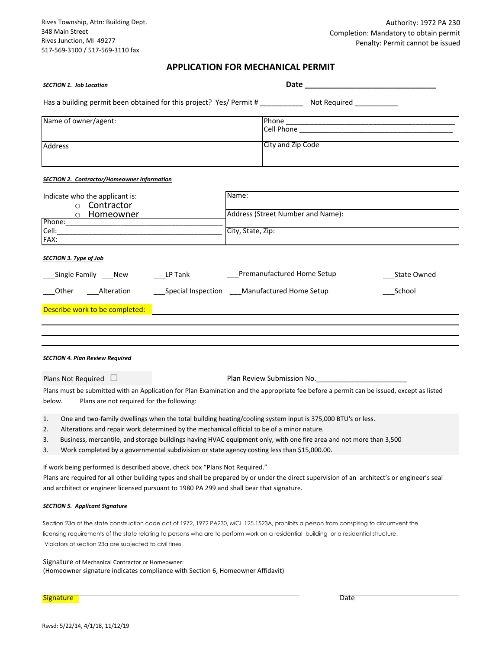Rives Township, Attn: Building Dept. 348 Main Street Rives Junction, MI 49277 517-569-3100 / 517-569-3110 fax

## **APPLICATION FOR MECHANICAL PERMIT**

| <b>SECTION 1. Job Location</b>                                                                                                                                                                                                                                                                                                             |                                                                  |                                   |  |  |
|--------------------------------------------------------------------------------------------------------------------------------------------------------------------------------------------------------------------------------------------------------------------------------------------------------------------------------------------|------------------------------------------------------------------|-----------------------------------|--|--|
| Has a building permit been obtained for this project? Yes/ Permit # _____________ Not Required ___________                                                                                                                                                                                                                                 |                                                                  |                                   |  |  |
| Name of owner/agent:                                                                                                                                                                                                                                                                                                                       |                                                                  |                                   |  |  |
| Address                                                                                                                                                                                                                                                                                                                                    |                                                                  | City and Zip Code                 |  |  |
| SECTION 2. Contractor/Homeowner Information                                                                                                                                                                                                                                                                                                |                                                                  |                                   |  |  |
| Indicate who the applicant is:<br>o Contractor                                                                                                                                                                                                                                                                                             |                                                                  | Name:                             |  |  |
| o Homeowner                                                                                                                                                                                                                                                                                                                                |                                                                  | Address (Street Number and Name): |  |  |
| FAX:                                                                                                                                                                                                                                                                                                                                       | City, State, Zip:                                                |                                   |  |  |
| <b>SECTION 3. Type of Job</b>                                                                                                                                                                                                                                                                                                              |                                                                  |                                   |  |  |
| __Single Family ____New _________LP Tank ______________Premanufactured Home Setup                                                                                                                                                                                                                                                          | <b>State Owned</b>                                               |                                   |  |  |
| ___Special Inspection ___Manufactured Home Setup<br>Other _____Alteration<br>School                                                                                                                                                                                                                                                        |                                                                  |                                   |  |  |
| Describe work to be completed:                                                                                                                                                                                                                                                                                                             |                                                                  |                                   |  |  |
|                                                                                                                                                                                                                                                                                                                                            |                                                                  |                                   |  |  |
| <b>SECTION 4. Plan Review Required</b>                                                                                                                                                                                                                                                                                                     |                                                                  |                                   |  |  |
| Plans Not Required $\Box$                                                                                                                                                                                                                                                                                                                  | Plan Review Submission No. 2008. [19] Plan Review Submission No. |                                   |  |  |
| Plans must be submitted with an Application for Plan Examination and the appropriate fee before a permit can be issued, except as listed<br>below.<br>Plans are not required for the following:                                                                                                                                            |                                                                  |                                   |  |  |
| One and two-family dwellings when the total building heating/cooling system input is 375,000 BTU's or less.<br>1.                                                                                                                                                                                                                          |                                                                  |                                   |  |  |
| Alterations and repair work determined by the mechanical official to be of a minor nature.<br>2.<br>Business, mercantile, and storage buildings having HVAC equipment only, with one fire area and not more than 3,500<br>3.<br>Work completed by a governmental subdivision or state agency costing less than \$15,000.00.<br>3.          |                                                                  |                                   |  |  |
| If work being performed is described above, check box "Plans Not Required."<br>Plans are required for all other building types and shall be prepared by or under the direct supervision of an architect's or engineer's seal<br>and architect or engineer licensed pursuant to 1980 PA 299 and shall bear that signature.                  |                                                                  |                                   |  |  |
| <b>SECTION 5. Applicant Signature</b>                                                                                                                                                                                                                                                                                                      |                                                                  |                                   |  |  |
| Section 23a of the state construction code act of 1972, 1972 PA230, MCL 125.1523A, prohibits a person from conspiring to circumvent the<br>licensing requirements of the state relating to persons who are to perform work on a residential building or a residential structure.<br>Violators of section 23a are subjected to civil fines. |                                                                  |                                   |  |  |
| Signature of Mechanical Contractor or Homeowner:<br>(Homeowner signature indicates compliance with Section 6, Homeowner Affidavit)                                                                                                                                                                                                         |                                                                  |                                   |  |  |

Signature Date